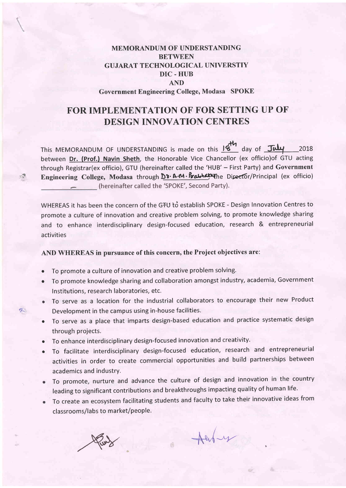## MEMORANDUM OF UNDERSTANDING **BETWEEN** GUJARAT TECHNOLOGICAL UNIVERSTIY DIC. HUB AND Government Engineering College, Modasa SPOKE

# FORIMPLEMENTATION OF FOR SETTING UP OF DESIGN INNOVATION CENTRES

This MEMORANDUM OF UNDERSTANDING is made on this  $16^{14}$  day of  $\frac{1}{204}$  2018 between Dr. (Prof.) Navin Sheth, the Honorable Vice Chancellor (ex officio)of GTU acting through Registrar(ex officio), GTU (hereinafter called the 'HUB' - First Party) and Government Engineering College, Modasa through  $D_3$ . A.M. Pralhata the Director/Principal (ex officio) (hereinafter called the 'SPOKE', Second Party).

WHEREAS it has been the concern of the GTU to establish SPOKE - Design Innovation Centres to promote a culture of innovation and creative problem solving, to promote knowledge sharing and to enhance interdisciplinary design-focused education, research & entrepreneurial activities

#### AND WHEREAS in pursuance of this concern, the Project objectives are:

- To promote a culture of innovation and creative problem solving. o
- To promote knowledge sharing and collaboration amongst industry, academia, Government Institutions, research laboratories, etc. o
- To serve as a location for the industrial collaborators to encourage their new Product Development in the campus using in-house facilities.
- To serve as a place that imparts design-based education and practice systematic design through projects.
- $\bullet$  To enhance interdisciplinary design-focused innovation and creativity.
- To facilitate interdisciplinary design-focused education, research and entrepreneuria activities in order to create commercial opportunities and build partnerships between academics and industry.
- To promote, hurture and advance the culture of design and innovation in the country leading to significant contributions and breakthroughs impacting quality of human life.
- To create an ecosystem facilitating students and faculty to take their innovative ideas from classrooms/labs to market/people.



 $\mathcal{L}^{\text{in}}_{\mathcal{H}}$ 

f:.

 $A$ erbey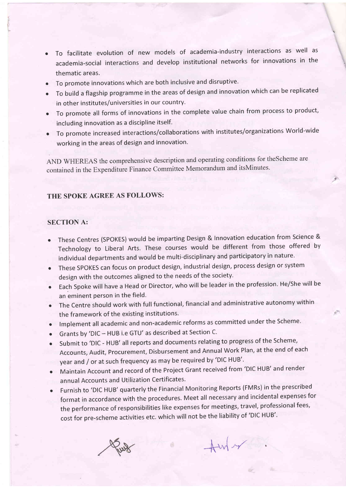o To facilitate evolution of new models of academia-industry interactions as well as academia-social interactions and develop institutional networks for innovations in the \, thematic areas.

!

- To promote innovations which are both inclusive and disruptive.
- . To build a flagship programme in the areas of design and innovation which can be replicated in other institutes/universities in our country.
- o To promote all forms of innovations in the complete value chain from process to product, including innovation as a discipline itself.
- To promote increased interactions/collaborations with institutes/organizations World-wide working in the areas of design and innovation.

AND WHEREAS the comprehensive description and operating conditions for theScheme are contained in the Expenditure Finance Committee Memorandum and itsMinutes'

## THE SPOKE AGREE AS FOLLOWS:

### SECTION A:

- o These Centres (SpOKES) would be imparting Design & Innovation education from Science & Technology to Liberal Arts. These courses would be different from those offered by individual departments and would be multi-disciplinary and participatory in nature.
- These SPOKES can focus on product design, industrial design, process design or system design with the outcomes aligned to the needs of the society.
- Each Spoke will have a Head or Director, who will be leader in the profession. He/She will be an eminent person in the field.
- The Centre should work with full functional, financial and administrative autonomy within the framework of the existing institutions.
- $\bullet$  Implement all academic and non-academic reforms as committed under the Scheme.
- o Grants by 'Dlc HUB i.e GTU' as described at section c.
- Submit to 'DIC HUB' all reports and documents relating to progress of the Scheme Accounts, Audit, procurement, Disbursement and Annual work Plan, at the end of each year and / or at such frequency as may be required by 'DIC HUB'.
- Maintain Account and record of the Project Grant received from 'DIC HUB' and render annual Accounts and Utilization Certificates.
- Furnish to 'DIC HUB' quarterly the Financial Monitoring Reports (FMRs) in the prescribed format in accordance with the procedures. Meet all necessary and incidental expenses for the performance of responsibilities like expenses for meetings, travel, professional fees, cost for pre-scheme activities etc. which will not be the liability of 'Dlc HUB''

 $\overline{+}$ m/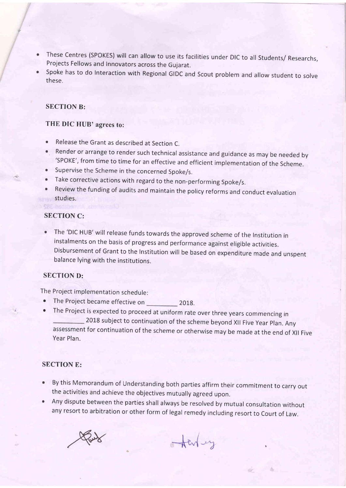- These centres (sPoKES) will can allow to use its facilities under Dlc to all students/ Researchs, Projects Fellows and Innovators across the Gujarat.
- Spoke has to do Interaction with Regional GlDc and Scout problem and allow student to solve these.

#### SECTION B:

## THE DIC HUB' agrees to:

- Release the Grant as described at Section C.
- Render or arrange to render such technical assistance and guidance as may be needed by 'SPOKE', from time to time for an effective and efficient implementation of the Scheme.
- Supervise the Scheme in the concerned Spoke/s.
- Take corrective actions with regard to the non-performing spoke/s.
- Review the funding of audits and maintain the policy reforms and conduct evaluation studies.

### SECTION C:

• The 'DIC HUB' will release funds towards the approved scheme of the Institution in instalments on the basis of progress and performance against eligible activities. Disbursement of Grant to the lnstitution will be based on expenditure made and unspent balance lying with the institutions.

#### SECTION D:

The Project implementation schedule:

- The Project became effective on 2018.
- o The Project is expected to proceed at uniform rate over three years commencing in 2018 subject to continuation of the scheme beyond Xll Five year plan. Any assessment for continuation of the scheme or otherwise may be made at the end of Xll Five Year Plan.

#### SECTION E:

- By this Memorandum of Understanding both parties affirm their commitment to carry out the activities and achieve the objectives mutually agreed upon.
- Any dispute between the parties shall always be resolved by mutual consultation without any resort to arbitration or other form of legal remedy including resort to Court of Law.

Paul

Acricy